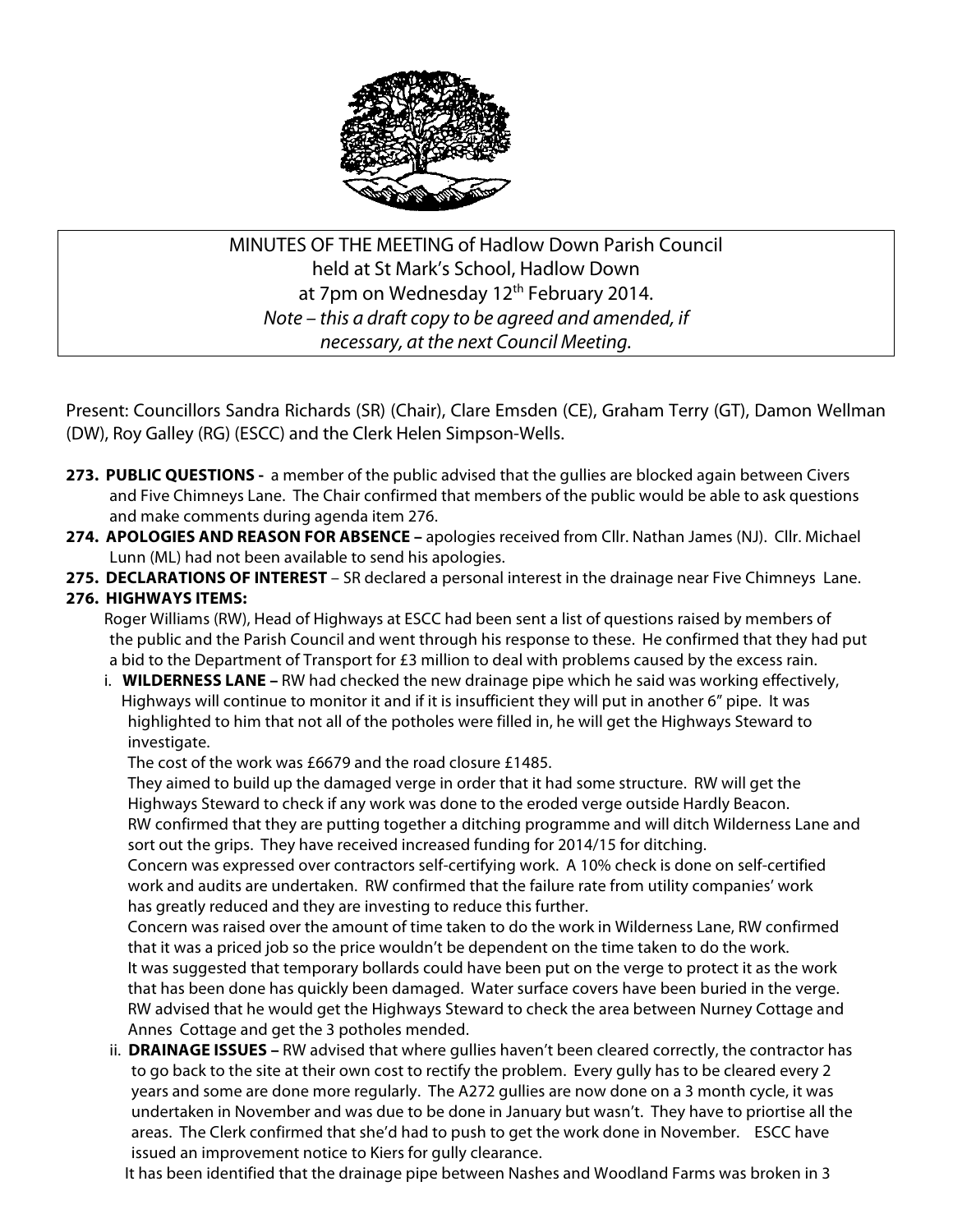

# MINUTES OF THE MEETING of Hadlow Down Parish Council held at St Mark's School, Hadlow Down at 7pm on Wednesday 12<sup>th</sup> February 2014. *Note – this a draft copy to be agreed and amended, if necessary, at the next Council Meeting.*

Present: Councillors Sandra Richards (SR) (Chair), Clare Emsden (CE), Graham Terry (GT), Damon Wellman (DW), Roy Galley (RG) (ESCC) and the Clerk Helen Simpson-Wells.

- **273. PUBLIC QUESTIONS** a member of the public advised that the gullies are blocked again between Civers and Five Chimneys Lane. The Chair confirmed that members of the public would be able to ask questions and make comments during agenda item 276.
- **274. APOLOGIES AND REASON FOR ABSENCE –** apologies received from Cllr. Nathan James (NJ). Cllr. Michael Lunn (ML) had not been available to send his apologies.
- **275. DECLARATIONS OF INTEREST** SR declared a personal interest in the drainage near Five Chimneys Lane.

## **276. HIGHWAYS ITEMS:**

Roger Williams (RW), Head of Highways at ESCC had been sent a list of questions raised by members of the public and the Parish Council and went through his response to these. He confirmed that they had put a bid to the Department of Transport for £3 million to deal with problems caused by the excess rain.

i. **WILDERNESS LANE –** RW had checked the new drainage pipe which he said was working effectively, Highways will continue to monitor it and if it is insufficient they will put in another 6" pipe. It was highlighted to him that not all of the potholes were filled in, he will get the Highways Steward to investigate.

The cost of the work was £6679 and the road closure £1485.

 They aimed to build up the damaged verge in order that it had some structure. RW will get the Highways Steward to check if any work was done to the eroded verge outside Hardly Beacon. RW confirmed that they are putting together a ditching programme and will ditch Wilderness Lane and sort out the grips. They have received increased funding for 2014/15 for ditching.

 Concern was expressed over contractors self-certifying work. A 10% check is done on self-certified work and audits are undertaken. RW confirmed that the failure rate from utility companies' work has greatly reduced and they are investing to reduce this further.

 Concern was raised over the amount of time taken to do the work in Wilderness Lane, RW confirmed that it was a priced job so the price wouldn't be dependent on the time taken to do the work. It was suggested that temporary bollards could have been put on the verge to protect it as the work that has been done has quickly been damaged. Water surface covers have been buried in the verge. RW advised that he would get the Highways Steward to check the area between Nurney Cottage and Annes Cottage and get the 3 potholes mended.

 ii. **DRAINAGE ISSUES –** RW advised that where gullies haven't been cleared correctly, the contractor has to go back to the site at their own cost to rectify the problem. Every gully has to be cleared every 2 years and some are done more regularly. The A272 gullies are now done on a 3 month cycle, it was undertaken in November and was due to be done in January but wasn't. They have to priortise all the areas. The Clerk confirmed that she'd had to push to get the work done in November. ESCC have issued an improvement notice to Kiers for gully clearance.

It has been identified that the drainage pipe between Nashes and Woodland Farms was broken in 3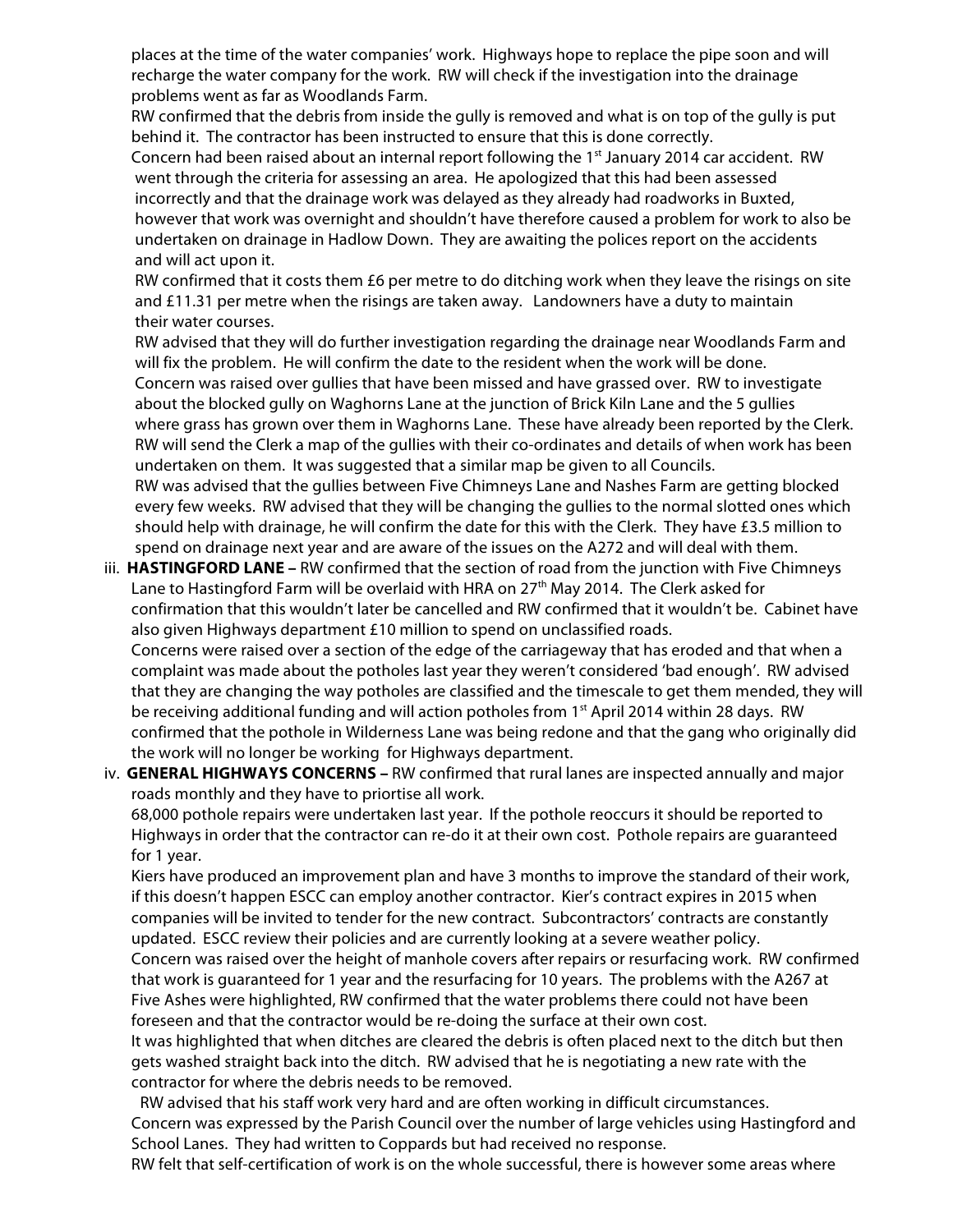places at the time of the water companies' work. Highways hope to replace the pipe soon and will recharge the water company for the work. RW will check if the investigation into the drainage problems went as far as Woodlands Farm.

 RW confirmed that the debris from inside the gully is removed and what is on top of the gully is put behind it. The contractor has been instructed to ensure that this is done correctly.

Concern had been raised about an internal report following the 1<sup>st</sup> January 2014 car accident. RW went through the criteria for assessing an area. He apologized that this had been assessed incorrectly and that the drainage work was delayed as they already had roadworks in Buxted, however that work was overnight and shouldn't have therefore caused a problem for work to also be undertaken on drainage in Hadlow Down. They are awaiting the polices report on the accidents and will act upon it.

 RW confirmed that it costs them £6 per metre to do ditching work when they leave the risings on site and £11.31 per metre when the risings are taken away. Landowners have a duty to maintain their water courses.

 RW advised that they will do further investigation regarding the drainage near Woodlands Farm and will fix the problem. He will confirm the date to the resident when the work will be done. Concern was raised over gullies that have been missed and have grassed over. RW to investigate about the blocked gully on Waghorns Lane at the junction of Brick Kiln Lane and the 5 gullies where grass has grown over them in Waghorns Lane. These have already been reported by the Clerk. RW will send the Clerk a map of the gullies with their co-ordinates and details of when work has been undertaken on them. It was suggested that a similar map be given to all Councils.

 RW was advised that the gullies between Five Chimneys Lane and Nashes Farm are getting blocked every few weeks. RW advised that they will be changing the gullies to the normal slotted ones which should help with drainage, he will confirm the date for this with the Clerk. They have £3.5 million to spend on drainage next year and are aware of the issues on the A272 and will deal with them.

iii. **HASTINGFORD LANE –** RW confirmed that the section of road from the junction with Five Chimneys Lane to Hastingford Farm will be overlaid with HRA on  $27<sup>th</sup>$  May 2014. The Clerk asked for confirmation that this wouldn't later be cancelled and RW confirmed that it wouldn't be. Cabinet have also given Highways department £10 million to spend on unclassified roads. Concerns were raised over a section of the edge of the carriageway that has eroded and that when a complaint was made about the potholes last year they weren't considered 'bad enough'. RW advised that they are changing the way potholes are classified and the timescale to get them mended, they will be receiving additional funding and will action potholes from 1<sup>st</sup> April 2014 within 28 days. RW confirmed that the pothole in Wilderness Lane was being redone and that the gang who originally did

the work will no longer be working for Highways department.

iv. **GENERAL HIGHWAYS CONCERNS –** RW confirmed that rural lanes are inspected annually and major roads monthly and they have to priortise all work.

 68,000 pothole repairs were undertaken last year. If the pothole reoccurs it should be reported to Highways in order that the contractor can re-do it at their own cost. Pothole repairs are guaranteed for 1 year.

 Kiers have produced an improvement plan and have 3 months to improve the standard of their work, if this doesn't happen ESCC can employ another contractor. Kier's contract expires in 2015 when companies will be invited to tender for the new contract. Subcontractors' contracts are constantly updated. ESCC review their policies and are currently looking at a severe weather policy.

 Concern was raised over the height of manhole covers after repairs or resurfacing work. RW confirmed that work is guaranteed for 1 year and the resurfacing for 10 years. The problems with the A267 at Five Ashes were highlighted, RW confirmed that the water problems there could not have been foreseen and that the contractor would be re-doing the surface at their own cost.

 It was highlighted that when ditches are cleared the debris is often placed next to the ditch but then gets washed straight back into the ditch. RW advised that he is negotiating a new rate with the contractor for where the debris needs to be removed.

 RW advised that his staff work very hard and are often working in difficult circumstances. Concern was expressed by the Parish Council over the number of large vehicles using Hastingford and School Lanes. They had written to Coppards but had received no response.

RW felt that self-certification of work is on the whole successful, there is however some areas where